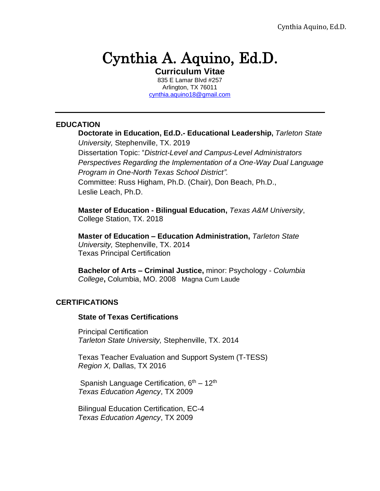# Cynthia A. Aquino, Ed.D.

**Curriculum Vitae** 835 E Lamar Blvd #257 Arlington, TX 76011 [cynthia.aquino18@gmail.com](mailto:cynthia.aquino18@gmail.com)

#### **EDUCATION**

**Doctorate in Education, Ed.D.- Educational Leadership,** *Tarleton State University,* Stephenville, TX. 2019 Dissertation Topic: "*District-Level and Campus-Level Administrators Perspectives Regarding the Implementation of a One-Way Dual Language Program in One-North Texas School District".* Committee: Russ Higham, Ph.D. (Chair), Don Beach, Ph.D., Leslie Leach, Ph.D.

**Master of Education - Bilingual Education,** *Texas A&M University*, College Station, TX. 2018

**Master of Education – Education Administration,** *Tarleton State University,* Stephenville, TX. 2014 Texas Principal Certification

**Bachelor of Arts – Criminal Justice,** minor: Psychology - *Columbia College***,** Columbia, MO. 2008 Magna Cum Laude

## **CERTIFICATIONS**

#### **State of Texas Certifications**

Principal Certification *Tarleton State University,* Stephenville, TX. 2014

Texas Teacher Evaluation and Support System (T-TESS) *Region X,* Dallas, TX 2016

Spanish Language Certification, 6<sup>th</sup> – 12<sup>th</sup> *Texas Education Agency*, TX 2009

Bilingual Education Certification, EC-4 *Texas Education Agency*, TX 2009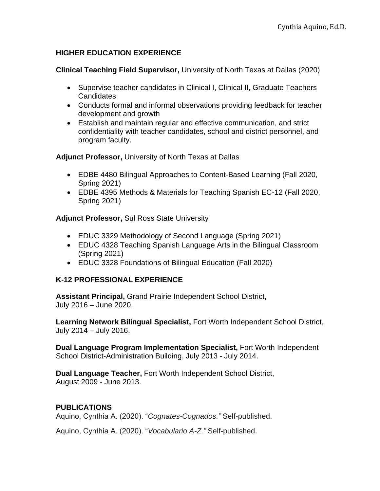## **HIGHER EDUCATION EXPERIENCE**

**Clinical Teaching Field Supervisor,** University of North Texas at Dallas (2020)

- Supervise teacher candidates in Clinical I, Clinical II, Graduate Teachers **Candidates**
- Conducts formal and informal observations providing feedback for teacher development and growth
- Establish and maintain regular and effective communication, and strict confidentiality with teacher candidates, school and district personnel, and program faculty.

**Adjunct Professor,** University of North Texas at Dallas

- EDBE 4480 Bilingual Approaches to Content-Based Learning (Fall 2020, Spring 2021)
- EDBE 4395 Methods & Materials for Teaching Spanish EC-12 (Fall 2020, Spring 2021)

**Adjunct Professor,** Sul Ross State University

- EDUC 3329 Methodology of Second Language (Spring 2021)
- EDUC 4328 Teaching Spanish Language Arts in the Bilingual Classroom (Spring 2021)
- EDUC 3328 Foundations of Bilingual Education (Fall 2020)

## **K-12 PROFESSIONAL EXPERIENCE**

**Assistant Principal,** Grand Prairie Independent School District, July 2016 – June 2020.

**Learning Network Bilingual Specialist,** Fort Worth Independent School District, July 2014 – July 2016.

**Dual Language Program Implementation Specialist,** Fort Worth Independent School District-Administration Building, July 2013 - July 2014.

**Dual Language Teacher,** Fort Worth Independent School District, August 2009 - June 2013.

# **PUBLICATIONS**

Aquino, Cynthia A. (2020). "*Cognates-Cognados."* Self-published.

Aquino, Cynthia A. (2020). "*Vocabulario A-Z."* Self-published.